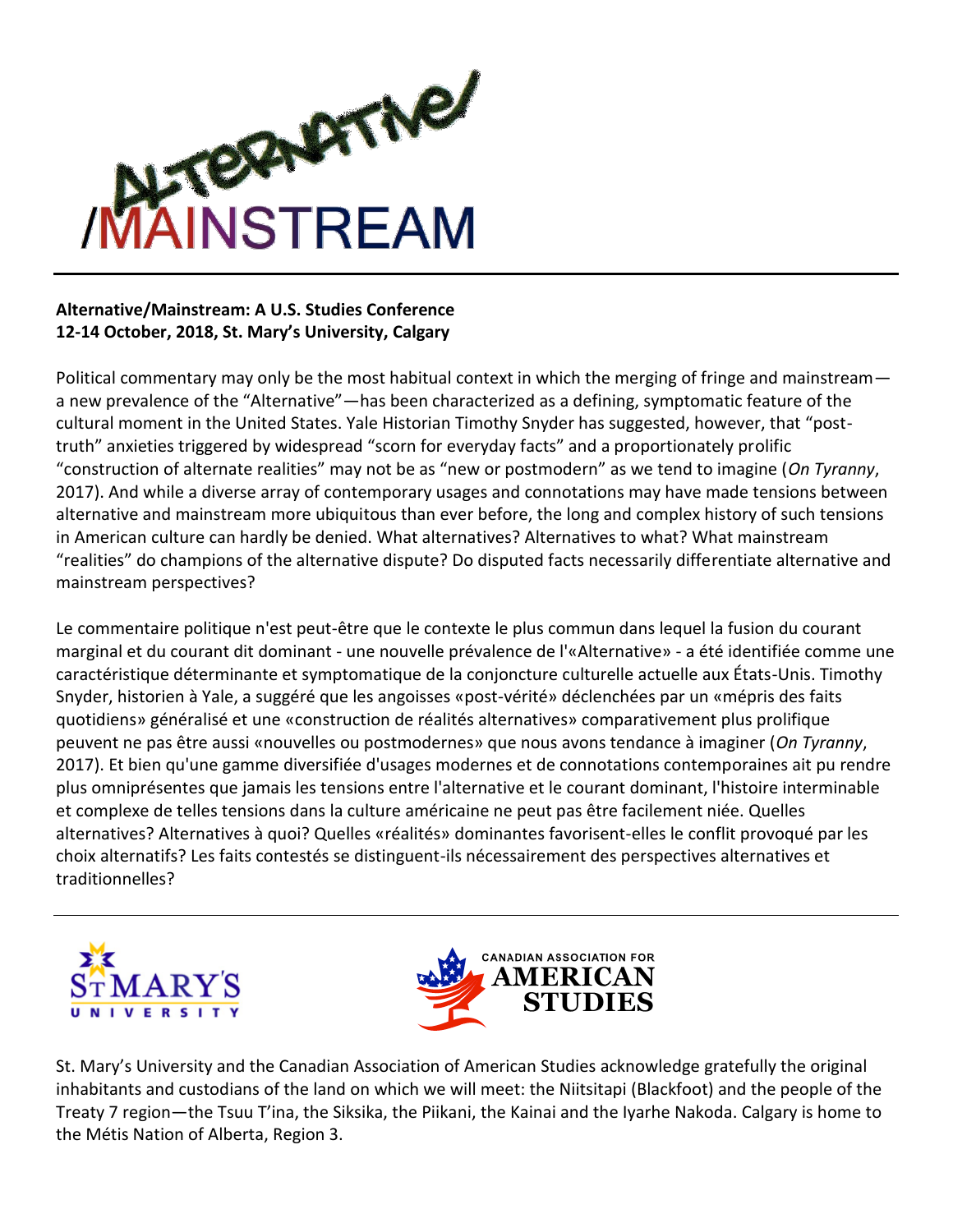

# **Alternative/Mainstream: A U.S. Studies Conference 12-14 October, 2018, St. Mary's University, Calgary**

Political commentary may only be the most habitual context in which the merging of fringe and mainstream a new prevalence of the "Alternative"—has been characterized as a defining, symptomatic feature of the cultural moment in the United States. Yale Historian Timothy Snyder has suggested, however, that "posttruth" anxieties triggered by widespread "scorn for everyday facts" and a proportionately prolific "construction of alternate realities" may not be as "new or postmodern" as we tend to imagine (*On Tyranny*, 2017). And while a diverse array of contemporary usages and connotations may have made tensions between alternative and mainstream more ubiquitous than ever before, the long and complex history of such tensions in American culture can hardly be denied. What alternatives? Alternatives to what? What mainstream "realities" do champions of the alternative dispute? Do disputed facts necessarily differentiate alternative and mainstream perspectives?

Le commentaire politique n'est peut-être que le contexte le plus commun dans lequel la fusion du courant marginal et du courant dit dominant - une nouvelle prévalence de l'«Alternative» - a été identifiée comme une caractéristique déterminante et symptomatique de la conjoncture culturelle actuelle aux États-Unis. Timothy Snyder, historien à Yale, a suggéré que les angoisses «post-vérité» déclenchées par un «mépris des faits quotidiens» généralisé et une «construction de réalités alternatives» comparativement plus prolifique peuvent ne pas être aussi «nouvelles ou postmodernes» que nous avons tendance à imaginer (*On Tyranny*, 2017). Et bien qu'une gamme diversifiée d'usages modernes et de connotations contemporaines ait pu rendre plus omniprésentes que jamais les tensions entre l'alternative et le courant dominant, l'histoire interminable et complexe de telles tensions dans la culture américaine ne peut pas être facilement niée. Quelles alternatives? Alternatives à quoi? Quelles «réalités» dominantes favorisent-elles le conflit provoqué par les choix alternatifs? Les faits contestés se distinguent-ils nécessairement des perspectives alternatives et traditionnelles?





St. Mary's University and the Canadian Association of American Studies acknowledge gratefully the original inhabitants and custodians of the land on which we will meet: the Niitsitapi (Blackfoot) and the people of the Treaty 7 region—the Tsuu T'ina, the Siksika, the Piikani, the Kainai and the Iyarhe Nakoda. Calgary is home to the Métis Nation of Alberta, Region 3.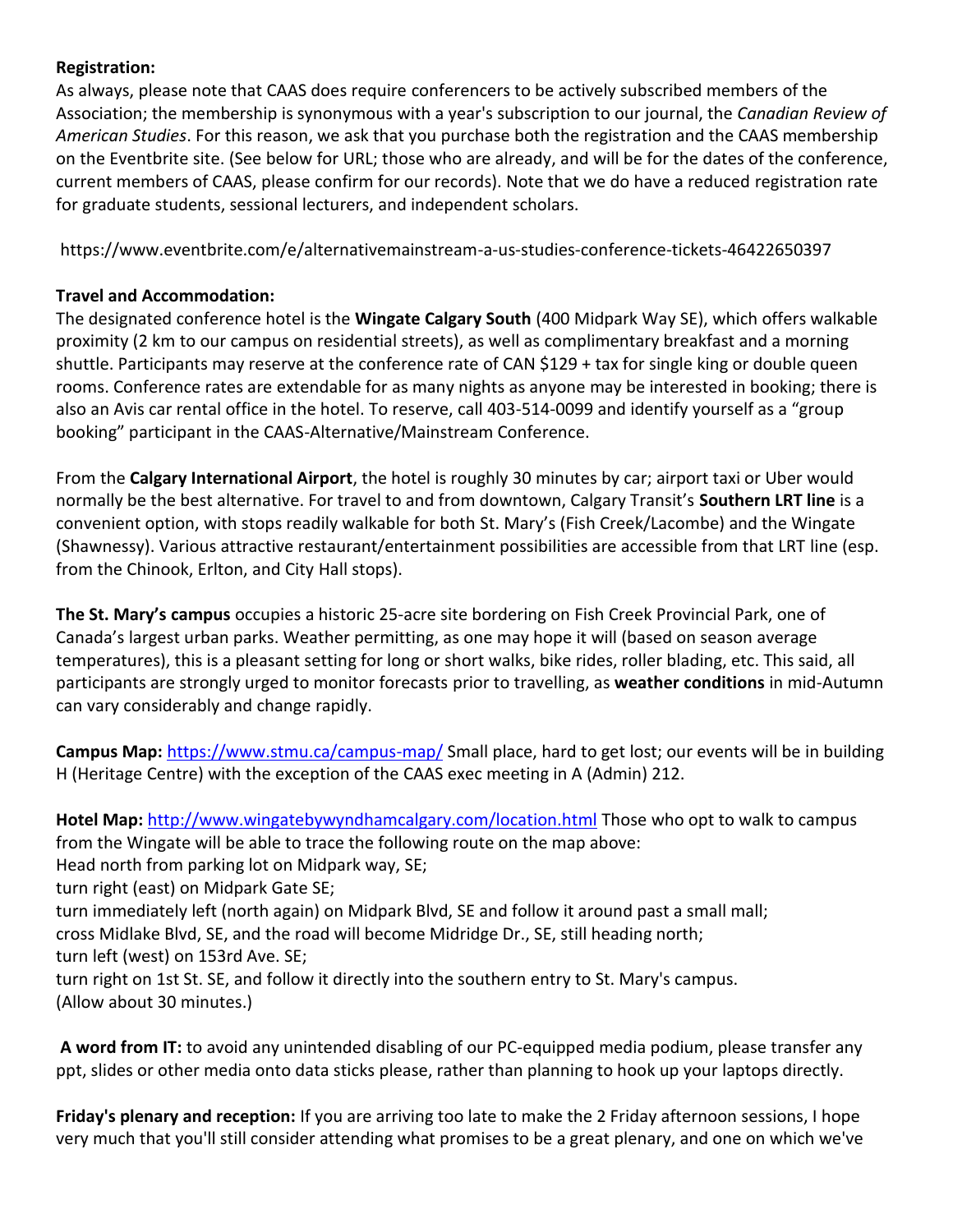### **Registration:**

As always, please note that CAAS does require conferencers to be actively subscribed members of the Association; the membership is synonymous with a year's subscription to our journal, the *Canadian Review of American Studies*. For this reason, we ask that you purchase both the registration and the CAAS membership on the Eventbrite site. (See below for URL; those who are already, and will be for the dates of the conference, current members of CAAS, please confirm for our records). Note that we do have a reduced registration rate for graduate students, sessional lecturers, and independent scholars.

[https://www.eventbrite.com/e/alternativemainstream-a-us-studies-conference-tickets-46422650397](https://mail.stmu.ca/owa/redir.aspx?C=aUuf4-iOPmHpSI49b-NssOEnwJUjW2_mBXotGhmllgi3VTPmlx3WCA..&URL=https%3a%2f%2fwww.eventbrite.com%2fe%2falternativemainstream-a-us-studies-conference-tickets-46422650397%3faff%3dutm_source%253Deb_email%2526utm_medium%253Demail%2526utm_campaign%253Dnew_event_email%26utm_term%3deventurl_text)

### **Travel and Accommodation:**

The designated conference hotel is the **Wingate Calgary South** (400 Midpark Way SE), which offers walkable proximity (2 km to our campus on residential streets), as well as complimentary breakfast and a morning shuttle. Participants may reserve at the conference rate of CAN \$129 + tax for single king or double queen rooms. Conference rates are extendable for as many nights as anyone may be interested in booking; there is also an Avis car rental office in the hotel. To reserve, call 403-514-0099 and identify yourself as a "group booking" participant in the CAAS-Alternative/Mainstream Conference.

From the **Calgary International Airport**, the hotel is roughly 30 minutes by car; airport taxi or Uber would normally be the best alternative. For travel to and from downtown, Calgary Transit's **Southern LRT line** is a convenient option, with stops readily walkable for both St. Mary's (Fish Creek/Lacombe) and the Wingate (Shawnessy). Various attractive restaurant/entertainment possibilities are accessible from that LRT line (esp. from the Chinook, Erlton, and City Hall stops).

**The St. Mary's campus** occupies a historic 25-acre site bordering on Fish Creek Provincial Park, one of Canada's largest urban parks. Weather permitting, as one may hope it will (based on season average temperatures), this is a pleasant setting for long or short walks, bike rides, roller blading, etc. This said, all participants are strongly urged to monitor forecasts prior to travelling, as **weather conditions** in mid-Autumn can vary considerably and change rapidly.

**Campus Map:** <https://www.stmu.ca/campus-map/> Small place, hard to get lost; our events will be in building H (Heritage Centre) with the exception of the CAAS exec meeting in A (Admin) 212.

Hotel Map: <http://www.wingatebywyndhamcalgary.com/location.html> Those who opt to walk to campus from the Wingate will be able to trace the following route on the map above: Head north from parking lot on Midpark way, SE;

turn right (east) on Midpark Gate SE;

turn immediately left (north again) on Midpark Blvd, SE and follow it around past a small mall; cross Midlake Blvd, SE, and the road will become Midridge Dr., SE, still heading north;

turn left (west) on 153rd Ave. SE;

turn right on 1st St. SE, and follow it directly into the southern entry to St. Mary's campus. (Allow about 30 minutes.)

**A word from IT:** to avoid any unintended disabling of our PC-equipped media podium, please transfer any ppt, slides or other media onto data sticks please, rather than planning to hook up your laptops directly.

**Friday's plenary and reception:** If you are arriving too late to make the 2 Friday afternoon sessions, I hope very much that you'll still consider attending what promises to be a great plenary, and one on which we've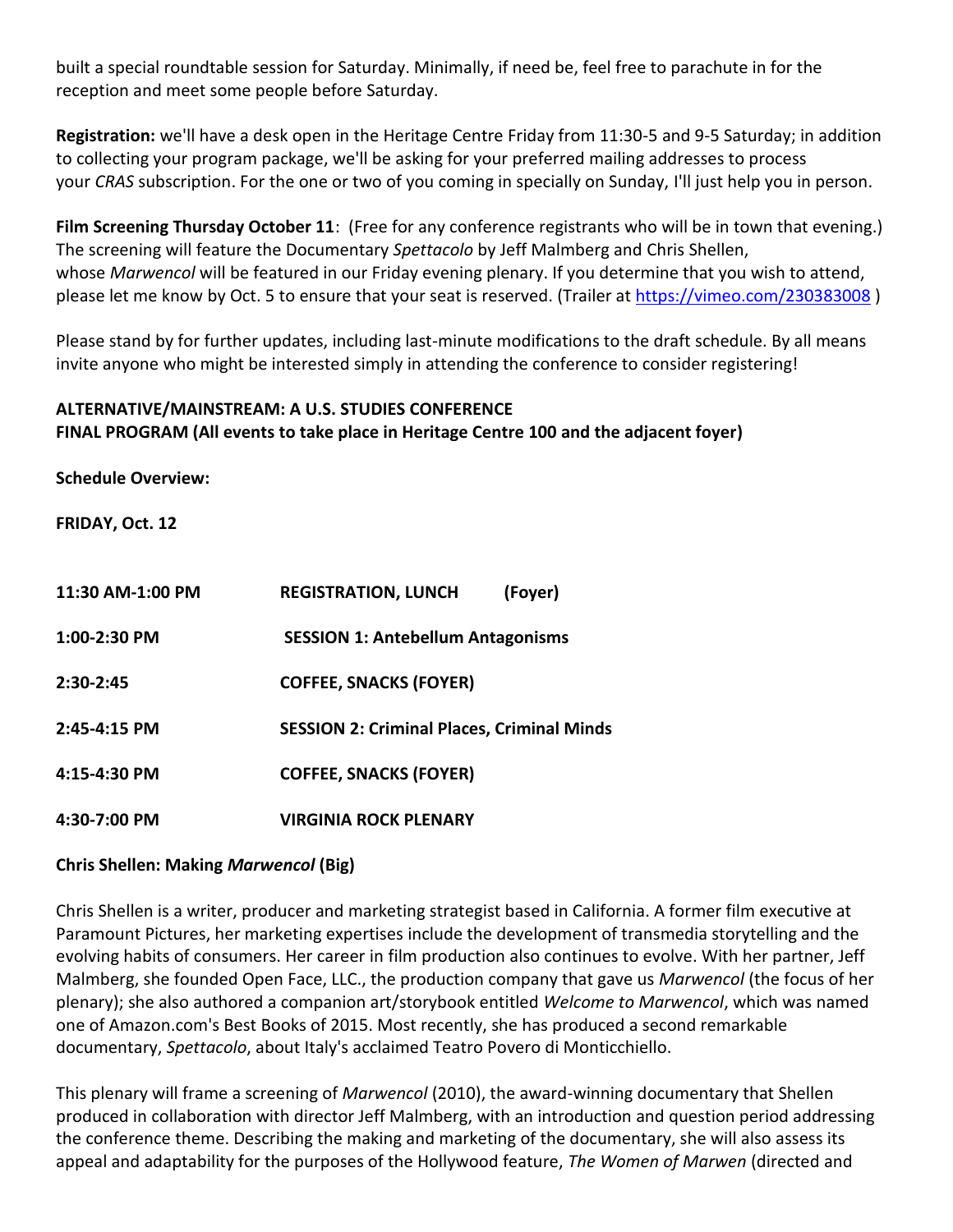built a special roundtable session for Saturday. Minimally, if need be, feel free to parachute in for the reception and meet some people before Saturday.

**Registration:** we'll have a desk open in the Heritage Centre Friday from 11:30-5 and 9-5 Saturday; in addition to collecting your program package, we'll be asking for your preferred mailing addresses to process your *CRAS* subscription. For the one or two of you coming in specially on Sunday, I'll just help you in person.

**Film Screening Thursday October 11**: (Free for any conference registrants who will be in town that evening.) The screening will feature the Documentary *Spettacolo* by Jeff Malmberg and Chris Shellen, whose *Marwencol* will be featured in our Friday evening plenary. If you determine that you wish to attend, please let me know by Oct. 5 to ensure that your seat is reserved. (Trailer at<https://vimeo.com/230383008>)

Please stand by for further updates, including last-minute modifications to the draft schedule. By all means invite anyone who might be interested simply in attending the conference to consider registering!

## **ALTERNATIVE/MAINSTREAM: A U.S. STUDIES CONFERENCE FINAL PROGRAM (All events to take place in Heritage Centre 100 and the adjacent foyer)**

**Schedule Overview:**

**FRIDAY, Oct. 12**

| 11:30 AM-1:00 PM | (Foyer)<br><b>REGISTRATION, LUNCH</b>             |
|------------------|---------------------------------------------------|
| 1:00-2:30 PM     | <b>SESSION 1: Antebellum Antagonisms</b>          |
| $2:30-2:45$      | <b>COFFEE, SNACKS (FOYER)</b>                     |
| 2:45-4:15 PM     | <b>SESSION 2: Criminal Places, Criminal Minds</b> |
| 4:15-4:30 PM     | <b>COFFEE, SNACKS (FOYER)</b>                     |
| 4:30-7:00 PM     | <b>VIRGINIA ROCK PLENARY</b>                      |

#### **Chris Shellen: Making** *Marwencol* **(Big)**

Chris Shellen is a writer, producer and marketing strategist based in California. A former film executive at Paramount Pictures, her marketing expertises include the development of transmedia storytelling and the evolving habits of consumers. Her career in film production also continues to evolve. With her partner, Jeff Malmberg, she founded Open Face, LLC., the production company that gave us *Marwencol* (the focus of her plenary); she also authored a companion art/storybook entitled *Welcome to Marwencol*, which was named one of Amazon.com's Best Books of 2015. Most recently, she has produced a second remarkable documentary, *Spettacolo*, about Italy's acclaimed Teatro Povero di Monticchiello.

This plenary will frame a screening of *Marwencol* (2010), the award-winning documentary that Shellen produced in collaboration with director Jeff Malmberg, with an introduction and question period addressing the conference theme. Describing the making and marketing of the documentary, she will also assess its appeal and adaptability for the purposes of the Hollywood feature, *The Women of Marwen* (directed and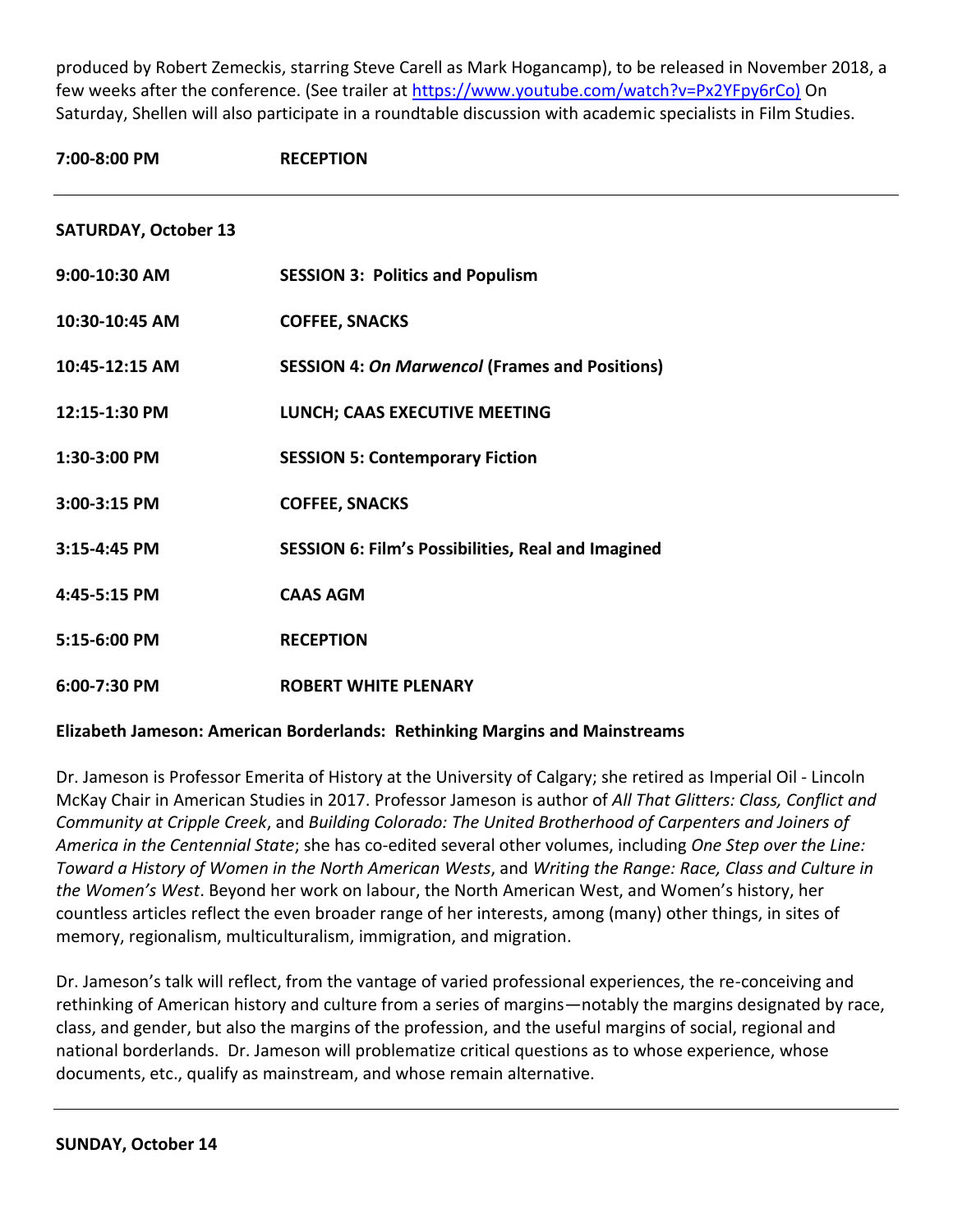produced by Robert Zemeckis, starring Steve Carell as Mark Hogancamp), to be released in November 2018, a few weeks after the conference. (See trailer at [https://www.youtube.com/watch?v=Px2YFpy6rCo\)](https://www.youtube.com/watch?v=Px2YFpy6rCo)) On Saturday, Shellen will also participate in a roundtable discussion with academic specialists in Film Studies.

#### **7:00-8:00 PM RECEPTION**

| <b>SATURDAY, October 13</b> |                                                           |
|-----------------------------|-----------------------------------------------------------|
| 9:00-10:30 AM               | <b>SESSION 3: Politics and Populism</b>                   |
| 10:30-10:45 AM              | <b>COFFEE, SNACKS</b>                                     |
| 10:45-12:15 AM              | <b>SESSION 4: On Marwencol (Frames and Positions)</b>     |
| $12:15-1:30$ PM             | LUNCH; CAAS EXECUTIVE MEETING                             |
| 1:30-3:00 PM                | <b>SESSION 5: Contemporary Fiction</b>                    |
| 3:00-3:15 PM                | <b>COFFEE, SNACKS</b>                                     |
| $3:15-4:45$ PM              | <b>SESSION 6: Film's Possibilities, Real and Imagined</b> |
| 4:45-5:15 PM                | <b>CAAS AGM</b>                                           |
| 5:15-6:00 PM                | <b>RECEPTION</b>                                          |
| $6:00 - 7:30$ PM            | <b>ROBERT WHITE PLENARY</b>                               |

# **Elizabeth Jameson: American Borderlands: Rethinking Margins and Mainstreams**

Dr. Jameson is Professor Emerita of History at the University of Calgary; she retired as Imperial Oil - Lincoln McKay Chair in American Studies in 2017. Professor Jameson is author of *All That Glitters: Class, Conflict and Community at Cripple Creek*, and *Building Colorado: The United Brotherhood of Carpenters and Joiners of America in the Centennial State*; she has co-edited several other volumes, including *One Step over the Line: Toward a History of Women in the North American Wests*, and *Writing the Range: Race, Class and Culture in the Women's West*. Beyond her work on labour, the North American West, and Women's history, her countless articles reflect the even broader range of her interests, among (many) other things, in sites of memory, regionalism, multiculturalism, immigration, and migration.

Dr. Jameson's talk will reflect, from the vantage of varied professional experiences, the re-conceiving and rethinking of American history and culture from a series of margins—notably the margins designated by race, class, and gender, but also the margins of the profession, and the useful margins of social, regional and national borderlands. Dr. Jameson will problematize critical questions as to whose experience, whose documents, etc., qualify as mainstream, and whose remain alternative.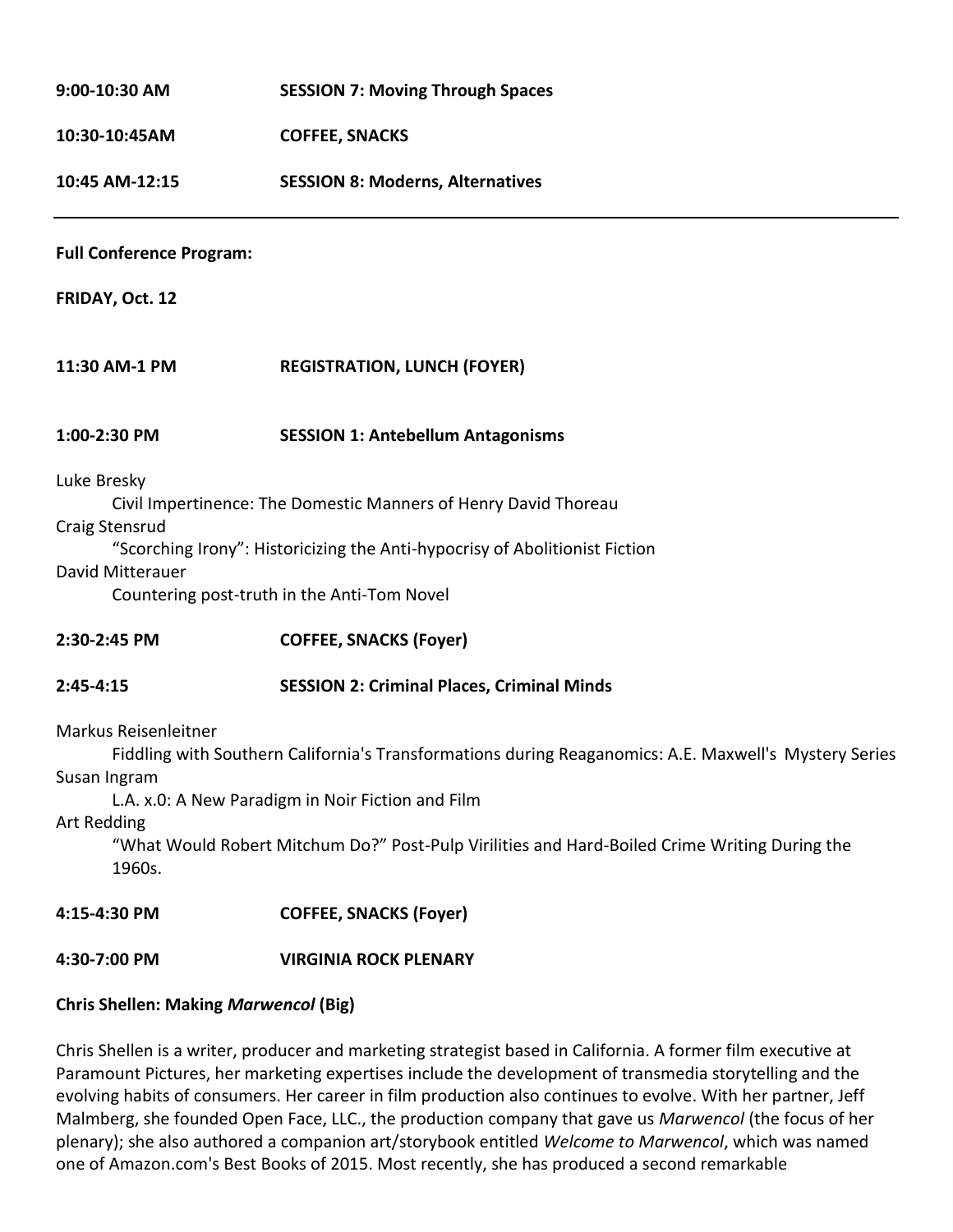| 9:00-10:30 AM                                                        | <b>SESSION 7: Moving Through Spaces</b>                                                                                                                                                                                                                     |
|----------------------------------------------------------------------|-------------------------------------------------------------------------------------------------------------------------------------------------------------------------------------------------------------------------------------------------------------|
| 10:30-10:45AM                                                        | <b>COFFEE, SNACKS</b>                                                                                                                                                                                                                                       |
| 10:45 AM-12:15                                                       | <b>SESSION 8: Moderns, Alternatives</b>                                                                                                                                                                                                                     |
| <b>Full Conference Program:</b>                                      |                                                                                                                                                                                                                                                             |
| FRIDAY, Oct. 12                                                      |                                                                                                                                                                                                                                                             |
| 11:30 AM-1 PM                                                        | <b>REGISTRATION, LUNCH (FOYER)</b>                                                                                                                                                                                                                          |
| 1:00-2:30 PM                                                         | <b>SESSION 1: Antebellum Antagonisms</b>                                                                                                                                                                                                                    |
| Luke Bresky<br>Craig Stensrud<br>David Mitterauer                    | Civil Impertinence: The Domestic Manners of Henry David Thoreau<br>"Scorching Irony": Historicizing the Anti-hypocrisy of Abolitionist Fiction<br>Countering post-truth in the Anti-Tom Novel                                                               |
| 2:30-2:45 PM                                                         | <b>COFFEE, SNACKS (Foyer)</b>                                                                                                                                                                                                                               |
| 2:45-4:15                                                            | <b>SESSION 2: Criminal Places, Criminal Minds</b>                                                                                                                                                                                                           |
| <b>Markus Reisenleitner</b><br>Susan Ingram<br>Art Redding<br>1960s. | Fiddling with Southern California's Transformations during Reaganomics: A.E. Maxwell's Mystery Series<br>L.A. x.0: A New Paradigm in Noir Fiction and Film<br>"What Would Robert Mitchum Do?" Post-Pulp Virilities and Hard-Boiled Crime Writing During the |
| 4:15-4:30 PM                                                         | <b>COFFEE, SNACKS (Foyer)</b>                                                                                                                                                                                                                               |
| 4:30-7:00 PM                                                         | <b>VIRGINIA ROCK PLENARY</b>                                                                                                                                                                                                                                |

#### **Chris Shellen: Making** *Marwencol* **(Big)**

Chris Shellen is a writer, producer and marketing strategist based in California. A former film executive at Paramount Pictures, her marketing expertises include the development of transmedia storytelling and the evolving habits of consumers. Her career in film production also continues to evolve. With her partner, Jeff Malmberg, she founded Open Face, LLC., the production company that gave us *Marwencol* (the focus of her plenary); she also authored a companion art/storybook entitled *Welcome to Marwencol*, which was named one of Amazon.com's Best Books of 2015. Most recently, she has produced a second remarkable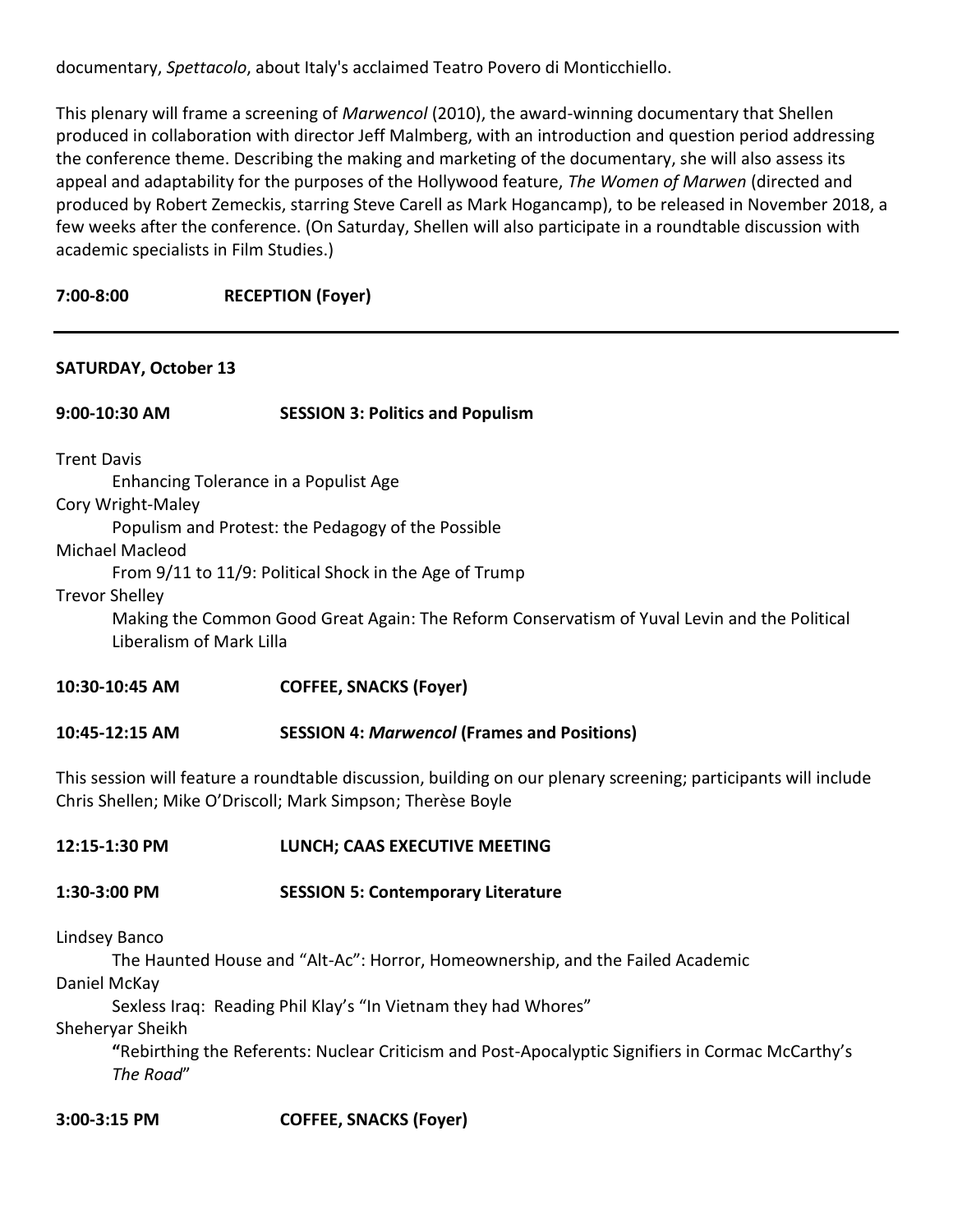documentary, *Spettacolo*, about Italy's acclaimed Teatro Povero di Monticchiello.

This plenary will frame a screening of *Marwencol* (2010), the award-winning documentary that Shellen produced in collaboration with director Jeff Malmberg, with an introduction and question period addressing the conference theme. Describing the making and marketing of the documentary, she will also assess its appeal and adaptability for the purposes of the Hollywood feature, *The Women of Marwen* (directed and produced by Robert Zemeckis, starring Steve Carell as Mark Hogancamp), to be released in November 2018, a few weeks after the conference. (On Saturday, Shellen will also participate in a roundtable discussion with academic specialists in Film Studies.)

## **7:00-8:00 RECEPTION (Foyer)**

#### **SATURDAY, October 13**

**9:00-10:30 AM SESSION 3: Politics and Populism**

Trent Davis

Enhancing Tolerance in a Populist Age

Cory Wright-Maley

Populism and Protest: the Pedagogy of the Possible

Michael Macleod

From 9/11 to 11/9: Political Shock in the Age of Trump

Trevor Shelley

Making the Common Good Great Again: The Reform Conservatism of Yuval Levin and the Political Liberalism of Mark Lilla

**10:30-10:45 AM COFFEE, SNACKS (Foyer)**

#### **10:45-12:15 AM SESSION 4:** *Marwencol* **(Frames and Positions)**

This session will feature a roundtable discussion, building on our plenary screening; participants will include Chris Shellen; Mike O'Driscoll; Mark Simpson; Therèse Boyle

#### **12:15-1:30 PM LUNCH; CAAS EXECUTIVE MEETING**

#### **1:30-3:00 PM SESSION 5: Contemporary Literature**

Lindsey Banco

The Haunted House and "Alt-Ac": Horror, Homeownership, and the Failed Academic

Daniel McKay

Sexless Iraq: Reading Phil Klay's "In Vietnam they had Whores"

Sheheryar Sheikh

**"**Rebirthing the Referents: Nuclear Criticism and Post-Apocalyptic Signifiers in Cormac McCarthy's *The Road*"

**3:00-3:15 PM COFFEE, SNACKS (Foyer)**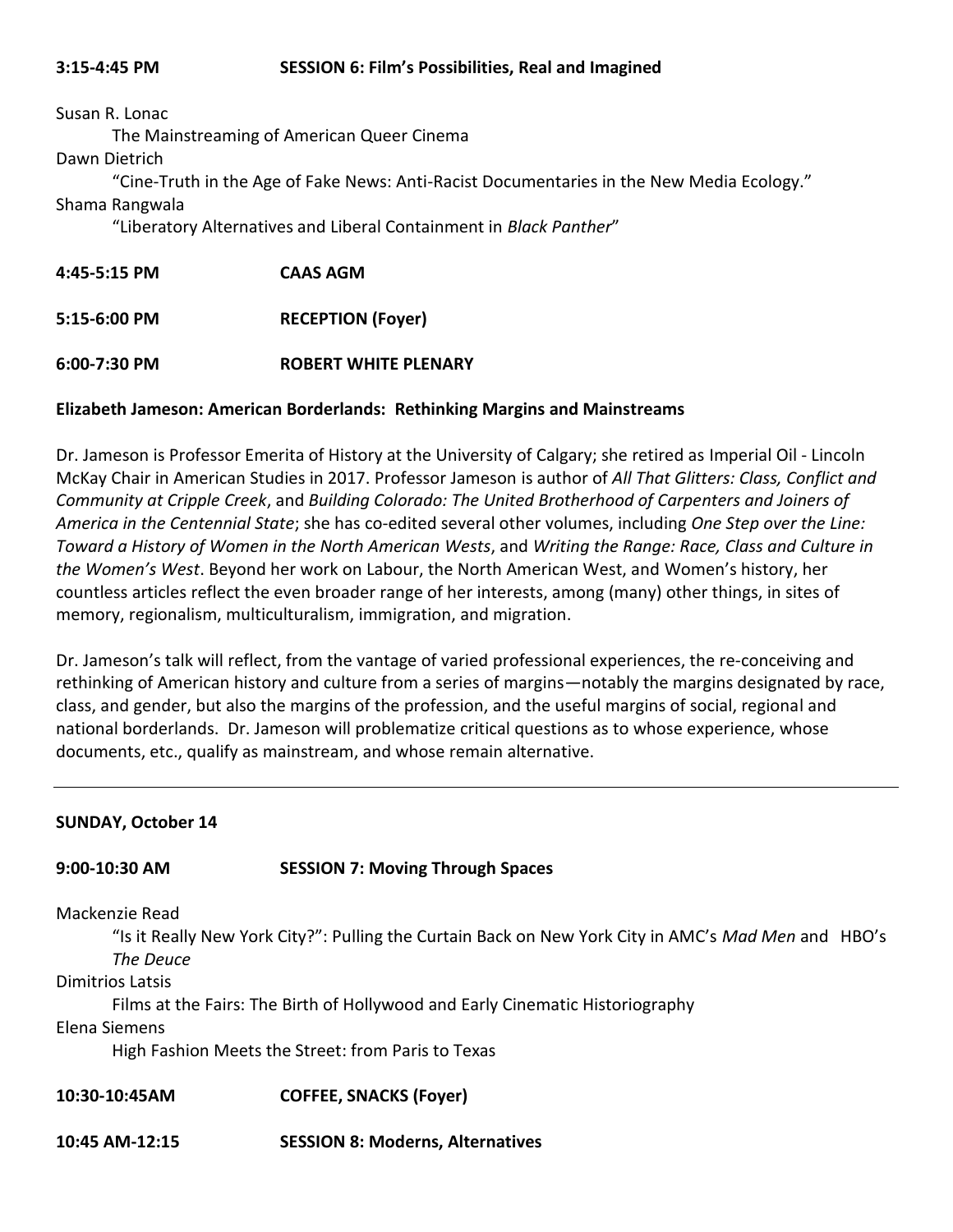#### Susan R. Lonac

The Mainstreaming of American Queer Cinema

Dawn Dietrich

"Cine-Truth in the Age of Fake News: Anti-Racist Documentaries in the New Media Ecology."

#### Shama Rangwala

"Liberatory Alternatives and Liberal Containment in *Black Panther*"

- **4:45-5:15 PM CAAS AGM**
- **5:15-6:00 PM RECEPTION (Foyer)**
- **6:00-7:30 PM ROBERT WHITE PLENARY**

### **Elizabeth Jameson: American Borderlands: Rethinking Margins and Mainstreams**

Dr. Jameson is Professor Emerita of History at the University of Calgary; she retired as Imperial Oil - Lincoln McKay Chair in American Studies in 2017. Professor Jameson is author of *All That Glitters: Class, Conflict and Community at Cripple Creek*, and *Building Colorado: The United Brotherhood of Carpenters and Joiners of America in the Centennial State*; she has co-edited several other volumes, including *One Step over the Line: Toward a History of Women in the North American Wests*, and *Writing the Range: Race, Class and Culture in the Women's West*. Beyond her work on Labour, the North American West, and Women's history, her countless articles reflect the even broader range of her interests, among (many) other things, in sites of memory, regionalism, multiculturalism, immigration, and migration.

Dr. Jameson's talk will reflect, from the vantage of varied professional experiences, the re-conceiving and rethinking of American history and culture from a series of margins—notably the margins designated by race, class, and gender, but also the margins of the profession, and the useful margins of social, regional and national borderlands. Dr. Jameson will problematize critical questions as to whose experience, whose documents, etc., qualify as mainstream, and whose remain alternative.

#### **SUNDAY, October 14**

### **9:00-10:30 AM SESSION 7: Moving Through Spaces**

Mackenzie Read

"Is it Really New York City?": Pulling the Curtain Back on New York City in AMC's *Mad Men* and HBO's *The Deuce*

Dimitrios Latsis

Films at the Fairs: The Birth of Hollywood and Early Cinematic Historiography

Elena Siemens

High Fashion Meets the Street: from Paris to Texas

**10:30-10:45AM COFFEE, SNACKS (Foyer)**

**10:45 AM-12:15 SESSION 8: Moderns, Alternatives**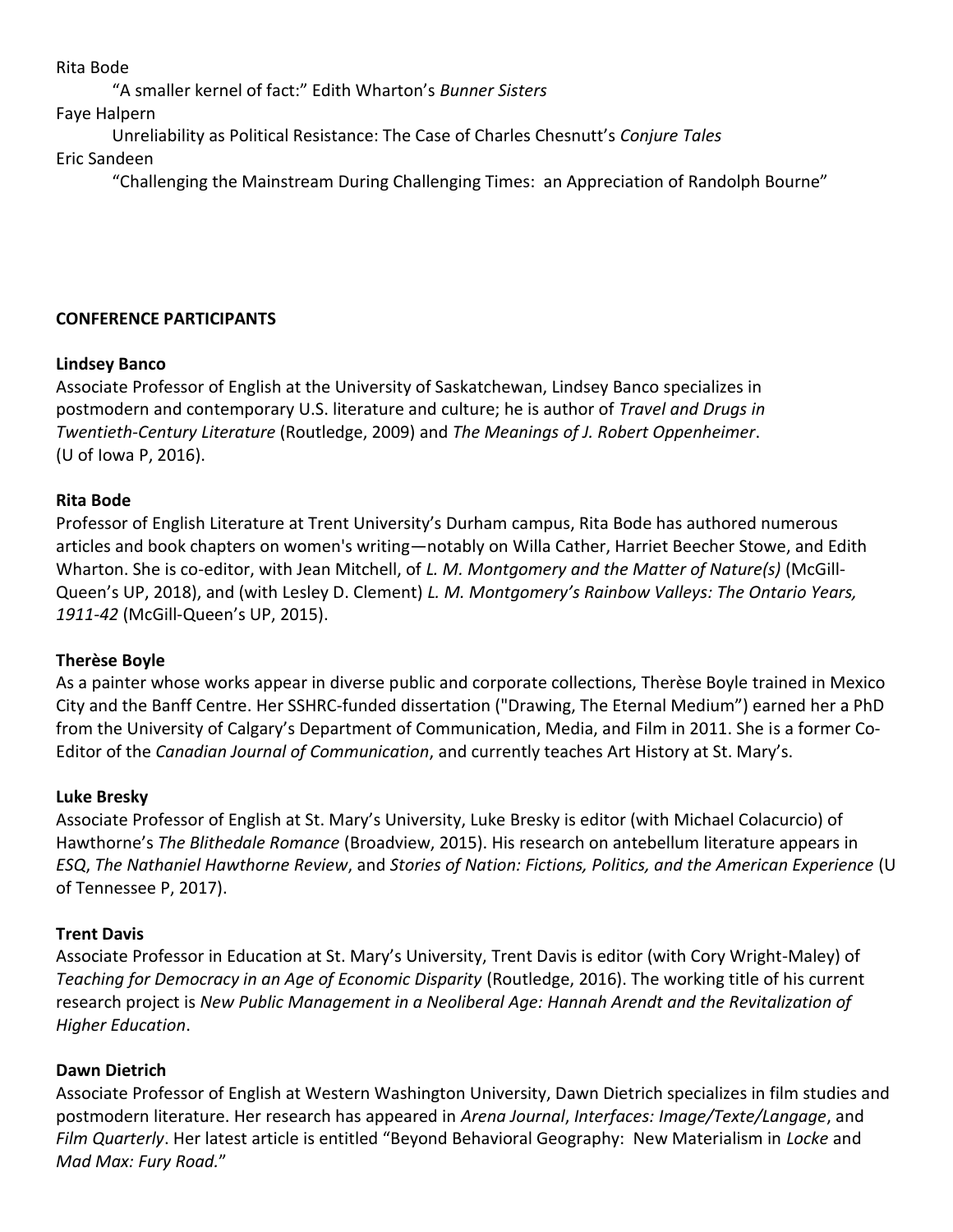Rita Bode

"A smaller kernel of fact:" Edith Wharton's *Bunner Sisters*

Faye Halpern

Unreliability as Political Resistance: The Case of Charles Chesnutt's *Conjure Tales*

Eric Sandeen

"Challenging the Mainstream During Challenging Times: an Appreciation of Randolph Bourne"

# **CONFERENCE PARTICIPANTS**

# **Lindsey Banco**

Associate Professor of English at the University of Saskatchewan, Lindsey Banco specializes in postmodern and contemporary U.S. literature and culture; he is author of *Travel and Drugs in Twentieth-Century Literature* (Routledge, 2009) and *The Meanings of J. Robert Oppenheimer*. (U of Iowa P, 2016).

# **Rita Bode**

Professor of English Literature at Trent University's Durham campus, Rita Bode has authored numerous articles and book chapters on women's writing—notably on Willa Cather, Harriet Beecher Stowe, and Edith Wharton. She is co-editor, with Jean Mitchell, of *L. M. Montgomery and the Matter of Nature(s)* (McGill-Queen's UP, 2018), and (with Lesley D. Clement) *L. M. Montgomery's Rainbow Valleys: The Ontario Years, 1911-42* (McGill-Queen's UP, 2015).

# **Therèse Boyle**

As a painter whose works appear in diverse public and corporate collections, Therèse Boyle trained in Mexico City and the Banff Centre. Her SSHRC-funded dissertation ("Drawing, The Eternal Medium") earned her a PhD from the University of Calgary's Department of Communication, Media, and Film in 2011. She is a former Co-Editor of the *Canadian Journal of Communication*, and currently teaches Art History at St. Mary's.

# **Luke Bresky**

Associate Professor of English at St. Mary's University, Luke Bresky is editor (with Michael Colacurcio) of Hawthorne's *The Blithedale Romance* (Broadview, 2015). His research on antebellum literature appears in *ESQ*, *The Nathaniel Hawthorne Review*, and *Stories of Nation: Fictions, Politics, and the American Experience* (U of Tennessee P, 2017).

# **Trent Davis**

Associate Professor in Education at St. Mary's University, Trent Davis is editor (with Cory Wright-Maley) of *Teaching for Democracy in an Age of Economic Disparity* (Routledge, 2016). The working title of his current research project is *New Public Management in a Neoliberal Age: Hannah Arendt and the Revitalization of Higher Education*.

# **Dawn Dietrich**

Associate Professor of English at Western Washington University, Dawn Dietrich specializes in film studies and postmodern literature. Her research has appeared in *Arena Journal*, *Interfaces: Image/Texte/Langage*, and *Film Quarterly*. Her latest article is entitled "Beyond Behavioral Geography: New Materialism in *Locke* and *Mad Max: Fury Road.*"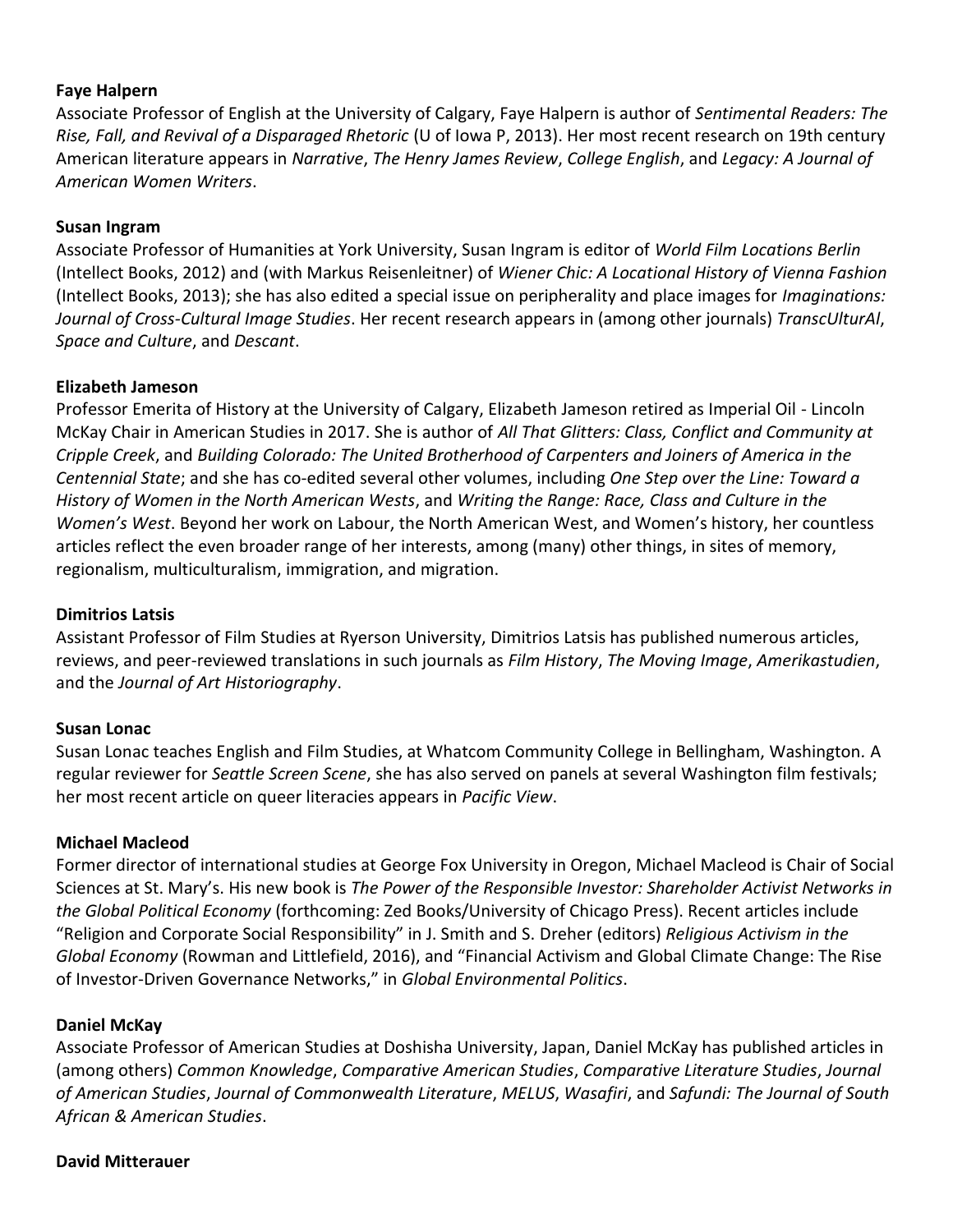#### **Faye Halpern**

Associate Professor of English at the University of Calgary, Faye Halpern is author of *Sentimental Readers: The Rise, Fall, and Revival of a Disparaged Rhetoric* (U of Iowa P, 2013). Her most recent research on 19th century American literature appears in *Narrative*, *The Henry James Review*, *College English*, and *Legacy: A Journal of American Women Writers*.

#### **Susan Ingram**

Associate Professor of Humanities at York University, Susan Ingram is editor of *World Film Locations Berlin*  (Intellect Books, 2012) and (with Markus Reisenleitner) of *Wiener Chic: A Locational History of Vienna Fashion* (Intellect Books, 2013); she has also edited a special issue on peripherality and place images for *Imaginations: Journal of Cross-Cultural Image Studies*. Her recent research appears in (among other journals) *TranscUlturAl*, *Space and Culture*, and *Descant*.

#### **Elizabeth Jameson**

Professor Emerita of History at the University of Calgary, Elizabeth Jameson retired as Imperial Oil - Lincoln McKay Chair in American Studies in 2017. She is author of *All That Glitters: Class, Conflict and Community at Cripple Creek*, and *Building Colorado: The United Brotherhood of Carpenters and Joiners of America in the Centennial State*; and she has co-edited several other volumes, including *One Step over the Line: Toward a History of Women in the North American Wests*, and *Writing the Range: Race, Class and Culture in the Women's West*. Beyond her work on Labour, the North American West, and Women's history, her countless articles reflect the even broader range of her interests, among (many) other things, in sites of memory, regionalism, multiculturalism, immigration, and migration.

#### **Dimitrios Latsis**

Assistant Professor of Film Studies at Ryerson University, Dimitrios Latsis has published numerous articles, reviews, and peer-reviewed translations in such journals as *Film History*, *The Moving Image*, *Amerikastudien*, and the *Journal of Art Historiography*.

#### **Susan Lonac**

Susan Lonac teaches English and Film Studies, at Whatcom Community College in Bellingham, Washington*.* A regular reviewer for *Seattle Screen Scene*, she has also served on panels at several Washington film festivals; her most recent article on queer literacies appears in *Pacific View*.

#### **Michael Macleod**

Former director of international studies at George Fox University in Oregon, Michael Macleod is Chair of Social Sciences at St. Mary's. His new book is *The Power of the Responsible Investor: Shareholder Activist Networks in the Global Political Economy* (forthcoming: Zed Books/University of Chicago Press). Recent articles include "Religion and Corporate Social Responsibility" in J. Smith and S. Dreher (editors) *Religious Activism in the Global Economy* (Rowman and Littlefield, 2016), and "Financial Activism and Global Climate Change: The Rise of Investor-Driven Governance Networks," in *Global Environmental Politics*.

#### **Daniel McKay**

Associate Professor of American Studies at Doshisha University, Japan, Daniel McKay has published articles in (among others) *Common Knowledge*, *Comparative American Studies*, *Comparative Literature Studies*, *Journal of American Studies*, *Journal of Commonwealth Literature*, *MELUS*, *Wasafiri*, and *Safundi: The Journal of South African & American Studies*.

#### **David Mitterauer**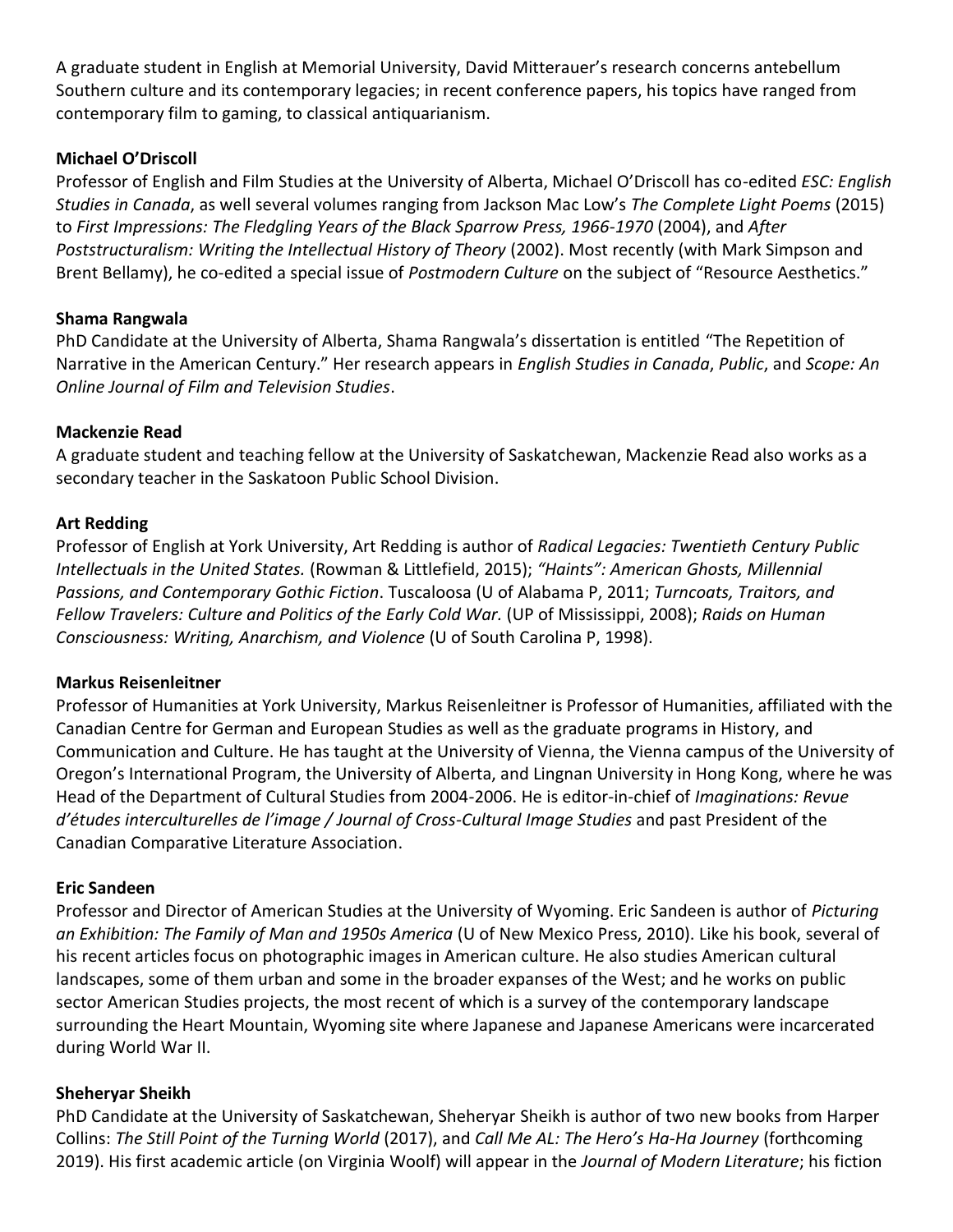A graduate student in English at Memorial University, David Mitterauer's research concerns antebellum Southern culture and its contemporary legacies; in recent conference papers, his topics have ranged from contemporary film to gaming, to classical antiquarianism.

## **Michael O'Driscoll**

Professor of English and Film Studies at the University of Alberta, Michael O'Driscoll has co-edited *ESC: English Studies in Canada*, as well several volumes ranging from Jackson Mac Low's *The Complete Light Poems* (2015) to *First Impressions: The Fledgling Years of the Black Sparrow Press, 1966-1970* (2004), and *After Poststructuralism: Writing the Intellectual History of Theory* (2002). Most recently (with Mark Simpson and Brent Bellamy), he co-edited a special issue of *Postmodern Culture* on the subject of "Resource Aesthetics."

### **Shama Rangwala**

PhD Candidate at the University of Alberta, Shama Rangwala's dissertation is entitled "The Repetition of Narrative in the American Century." Her research appears in *English Studies in Canada*, *Public*, and *Scope: An Online Journal of Film and Television Studies*.

## **Mackenzie Read**

A graduate student and teaching fellow at the University of Saskatchewan, Mackenzie Read also works as a secondary teacher in the Saskatoon Public School Division.

## **Art Redding**

Professor of English at York University, Art Redding is author of *Radical Legacies: Twentieth Century Public Intellectuals in the United States.* (Rowman & Littlefield, 2015); *"Haints": American Ghosts, Millennial Passions, and Contemporary Gothic Fiction*. Tuscaloosa (U of Alabama P, 2011; *Turncoats, Traitors, and Fellow Travelers: Culture and Politics of the Early Cold War.* (UP of Mississippi, 2008); *Raids on Human Consciousness: Writing, Anarchism, and Violence* (U of South Carolina P, 1998).

### **Markus Reisenleitner**

Professor of Humanities at York University, Markus Reisenleitner is Professor of Humanities, affiliated with the Canadian Centre for German and European Studies as well as the graduate programs in History, and Communication and Culture. He has taught at the University of Vienna, the Vienna campus of the University of Oregon's International Program, the University of Alberta, and Lingnan University in Hong Kong, where he was Head of the Department of Cultural Studies from 2004-2006. He is editor-in-chief of *[Imaginations: Revue](http://www.imaginations.io/)  [d'études interculturelles de l'image / Journal of Cross](http://www.imaginations.io/)-Cultural Image Studies* and past President of the [Canadian Comparative Literature Association.](http://www.complit.ca/)

### **Eric Sandeen**

Professor and Director of American Studies at the University of Wyoming. Eric Sandeen is author of *Picturing an Exhibition: The Family of Man and 1950s America* (U of New Mexico Press, 2010). Like his book, several of his recent articles focus on photographic images in American culture. He also studies American cultural landscapes, some of them urban and some in the broader expanses of the West; and he works on public sector American Studies projects, the most recent of which is a survey of the contemporary landscape surrounding the Heart Mountain, Wyoming site where Japanese and Japanese Americans were incarcerated during World War II.

# **Sheheryar Sheikh**

PhD Candidate at the University of Saskatchewan, Sheheryar Sheikh is author of two new books from Harper Collins: *The Still Point of the Turning World* (2017), and *Call Me AL: The Hero's Ha-Ha Journey* (forthcoming 2019). His first academic article (on Virginia Woolf) will appear in the *Journal of Modern Literature*; his fiction